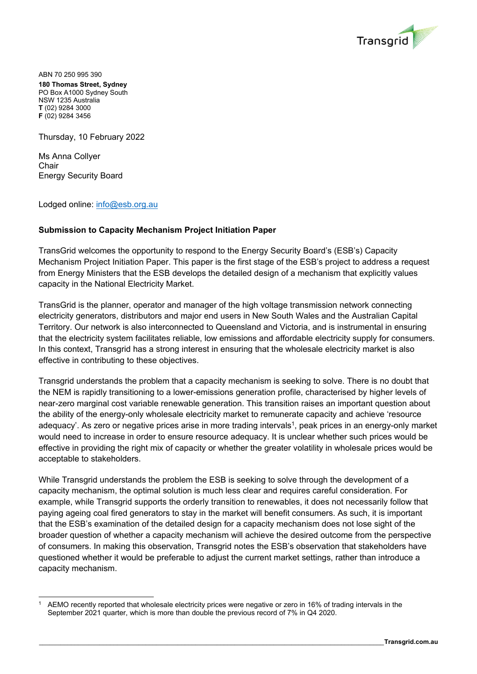

ABN 70 250 995 390 **180 Thomas Street, Sydney**  PO Box A1000 Sydney South NSW 1235 Australia **T** (02) 9284 3000 **F** (02) 9284 3456

Thursday, 10 February 2022

Ms Anna Collyer **Chair** Energy Security Board

 $\overline{a}$ 

Lodged online: info@esb.org.au

## **Submission to Capacity Mechanism Project Initiation Paper**

TransGrid welcomes the opportunity to respond to the Energy Security Board's (ESB's) Capacity Mechanism Project Initiation Paper. This paper is the first stage of the ESB's project to address a request from Energy Ministers that the ESB develops the detailed design of a mechanism that explicitly values capacity in the National Electricity Market.

TransGrid is the planner, operator and manager of the high voltage transmission network connecting electricity generators, distributors and major end users in New South Wales and the Australian Capital Territory. Our network is also interconnected to Queensland and Victoria, and is instrumental in ensuring that the electricity system facilitates reliable, low emissions and affordable electricity supply for consumers. In this context, Transgrid has a strong interest in ensuring that the wholesale electricity market is also effective in contributing to these objectives.

Transgrid understands the problem that a capacity mechanism is seeking to solve. There is no doubt that the NEM is rapidly transitioning to a lower-emissions generation profile, characterised by higher levels of near-zero marginal cost variable renewable generation. This transition raises an important question about the ability of the energy-only wholesale electricity market to remunerate capacity and achieve 'resource adequacy'. As zero or negative prices arise in more trading intervals<sup>1</sup>, peak prices in an energy-only market would need to increase in order to ensure resource adequacy. It is unclear whether such prices would be effective in providing the right mix of capacity or whether the greater volatility in wholesale prices would be acceptable to stakeholders.

While Transgrid understands the problem the ESB is seeking to solve through the development of a capacity mechanism, the optimal solution is much less clear and requires careful consideration. For example, while Transgrid supports the orderly transition to renewables, it does not necessarily follow that paying ageing coal fired generators to stay in the market will benefit consumers. As such, it is important that the ESB's examination of the detailed design for a capacity mechanism does not lose sight of the broader question of whether a capacity mechanism will achieve the desired outcome from the perspective of consumers. In making this observation, Transgrid notes the ESB's observation that stakeholders have questioned whether it would be preferable to adjust the current market settings, rather than introduce a capacity mechanism.

AEMO recently reported that wholesale electricity prices were negative or zero in 16% of trading intervals in the September 2021 quarter, which is more than double the previous record of 7% in Q4 2020.